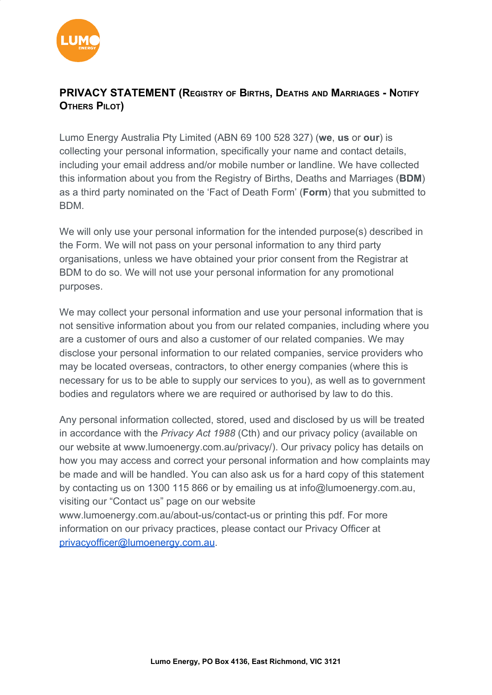

## **PRIVACY STATEMENT (REGISTRY OF BIRTHS, DEATHS AND MARRIAGES - NOTIFY OTHERS PILOT)**

Lumo Energy Australia Pty Limited (ABN 69 100 528 327) (**we**, **us** or **our**) is collecting your personal information, specifically your name and contact details, including your email address and/or mobile number or landline. We have collected this information about you from the Registry of Births, Deaths and Marriages (**BDM**) as a third party nominated on the 'Fact of Death Form' (**Form**) that you submitted to BDM.

We will only use your personal information for the intended purpose(s) described in the Form. We will not pass on your personal information to any third party organisations, unless we have obtained your prior consent from the Registrar at BDM to do so. We will not use your personal information for any promotional purposes.

We may collect your personal information and use your personal information that is not sensitive information about you from our related companies, including where you are a customer of ours and also a customer of our related companies. We may disclose your personal information to our related companies, service providers who may be located overseas, contractors, to other energy companies (where this is necessary for us to be able to supply our services to you), as well as to government bodies and regulators where we are required or authorised by law to do this.

Any personal information collected, stored, used and disclosed by us will be treated in accordance with the *Privacy Act 1988* (Cth) and our privacy policy (available on our website at www.lumoenergy.com.au/privacy/). Our privacy policy has details on how you may access and correct your personal information and how complaints may be made and will be handled. You can also ask us for a hard copy of this statement by contacting us on 1300 115 866 or by emailing us at info@lumoenergy.com.au, visiting our "Contact us" page on our website

www[.lumoenergy.com.au/about-us/contact-us](http://lumoenergy.com.au/about-us/contact-us) or printing this pdf. For more information on our privacy practices, please contact our Privacy Officer at [privacyofficer@lumoenergy.com.au](mailto:privacyofficer@lumoenergy.com.au).